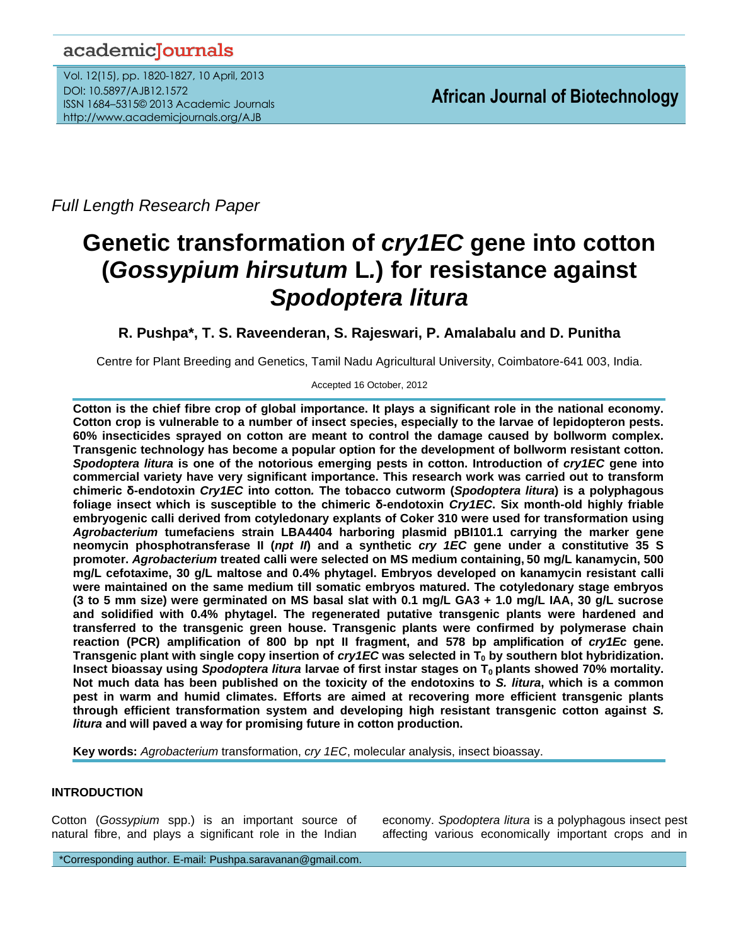# academicJournals

Vol. 12(15), pp. 1820-1827, 10 April, 2013 DOI: 10.5897/AJB12.1572 ISSN 1684–5315© 2013 Academic Journals http://www.academicjournals.org/AJB

*Full Length Research Paper*

# **Genetic transformation of** *cry1EC* **gene into cotton (***Gossypium hirsutum* **L***.***) for resistance against**  *Spodoptera litura*

# **R. Pushpa\*, T. S. Raveenderan, S. Rajeswari, P. Amalabalu and D. Punitha**

Centre for Plant Breeding and Genetics, Tamil Nadu Agricultural University, Coimbatore-641 003, India.

Accepted 16 October, 2012

**Cotton is the chief fibre crop of global importance. It plays a significant role in the national economy. Cotton crop is vulnerable to a number of insect species, especially to the larvae of lepidopteron pests. 60% insecticides sprayed on cotton are meant to control the damage caused by bollworm complex. Transgenic technology has become a popular option for the development of bollworm resistant cotton.**  *Spodoptera litura* **is one of the notorious emerging pests in cotton. Introduction of** *cry1EC* **gene into commercial variety have very significant importance. This research work was carried out to transform chimeric δ-endotoxin** *Cry1EC* **into cotton***.* **The tobacco cutworm (***Spodoptera litura***) is a polyphagous foliage insect which is susceptible to the chimeric δ-endotoxin** *Cry1EC***. Six month-old highly friable embryogenic calli derived from cotyledonary explants of Coker 310 were used for transformation using**  *Agrobacterium* **tumefaciens strain LBA4404 harboring plasmid pBI101.1 carrying the marker gene neomycin phosphotransferase II (***npt II***) and a synthetic** *cry 1EC* **gene under a constitutive 35 S promoter.** *Agrobacterium* **treated calli were selected on MS medium containing, 50 mg/L kanamycin, 500 mg/L cefotaxime, 30 g/L maltose and 0.4% phytagel. Embryos developed on kanamycin resistant calli were maintained on the same medium till somatic embryos matured. The cotyledonary stage embryos (3 to 5 mm size) were germinated on MS basal slat with 0.1 mg/L GA3 + 1.0 mg/L IAA, 30 g/L sucrose and solidified with 0.4% phytagel. The regenerated putative transgenic plants were hardened and transferred to the transgenic green house. Transgenic plants were confirmed by polymerase chain reaction (PCR) amplification of 800 bp npt II fragment, and 578 bp amplification of** *cry1Ec* **gene. Transgenic plant with single copy insertion of** *cry1EC* **was selected in T<sup>0</sup> by southern blot hybridization. Insect bioassay using** *Spodoptera litura* **larvae of first instar stages on T0 plants showed 70% mortality. Not much data has been published on the toxicity of the endotoxins to** *S. litura***, which is a common pest in warm and humid climates. Efforts are aimed at recovering more efficient transgenic plants through efficient transformation system and developing high resistant transgenic cotton against** *S. litura* **and will paved a way for promising future in cotton production.**

**Key words:** *Agrobacterium* transformation, *cry 1EC*, molecular analysis, insect bioassay.

# **INTRODUCTION**

Cotton (*Gossypium* spp.) is an important source of natural fibre, and plays a significant role in the Indian economy. *Spodoptera litura* is a polyphagous insect pest affecting various economically important crops and in

\*Corresponding author. E-mail: Pushpa.saravanan@gmail.com.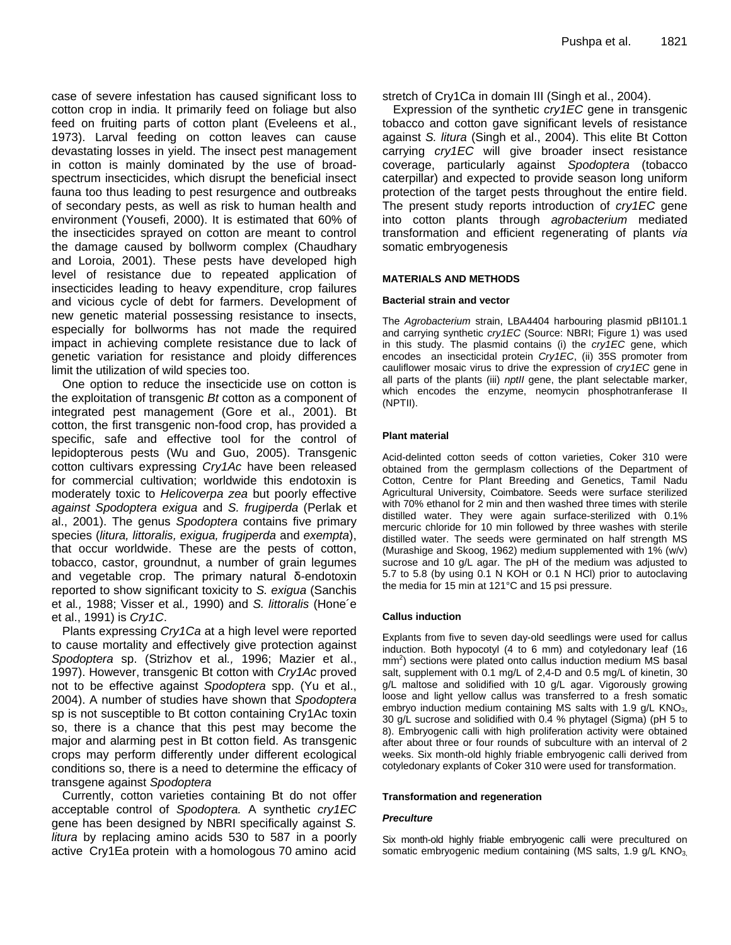case of severe infestation has caused significant loss to cotton crop in india. It primarily feed on foliage but also feed on fruiting parts of cotton plant (Eveleens et al., 1973). Larval feeding on cotton leaves can cause devastating losses in yield. The insect pest management in cotton is mainly dominated by the use of broadspectrum insecticides, which disrupt the beneficial insect fauna too thus leading to pest resurgence and outbreaks of secondary pests, as well as risk to human health and environment (Yousefi, 2000). It is estimated that 60% of the insecticides sprayed on cotton are meant to control the damage caused by bollworm complex (Chaudhary and Loroia, 2001). These pests have developed high level of resistance due to repeated application of insecticides leading to heavy expenditure, crop failures and vicious cycle of debt for farmers. Development of new genetic material possessing resistance to insects, especially for bollworms has not made the required impact in achieving complete resistance due to lack of genetic variation for resistance and ploidy differences limit the utilization of wild species too.

One option to reduce the insecticide use on cotton is the exploitation of transgenic *Bt* cotton as a component of integrated pest management (Gore et al., 2001). Bt cotton, the first transgenic non-food crop, has provided a specific, safe and effective tool for the control of lepidopterous pests (Wu and Guo, 2005). Transgenic cotton cultivars expressing *Cry1Ac* have been released for commercial cultivation; worldwide this endotoxin is moderately toxic to *Helicoverpa zea* but poorly effective *against Spodoptera exigua* and *S. frugiperda* (Perlak et al., 2001). The genus *Spodoptera* contains five primary species (*litura, littoralis, exigua, frugiperda* and *exempta*), that occur worldwide. These are the pests of cotton, tobacco, castor, groundnut, a number of grain legumes and vegetable crop. The primary natural δ-endotoxin reported to show significant toxicity to *S. exigua* (Sanchis et al*.,* 1988; Visser et al*.,* 1990) and *S. littoralis* (Hone´e et al., 1991) is *Cry1C*.

Plants expressing *Cry1Ca* at a high level were reported to cause mortality and effectively give protection against *Spodoptera* sp. (Strizhov et al*.,* 1996; Mazier et al., 1997). However, transgenic Bt cotton with *Cry1Ac* proved not to be effective against *Spodoptera* spp. (Yu et al., 2004). A number of studies have shown that *Spodoptera* sp is not susceptible to Bt cotton containing Cry1Ac toxin so, there is a chance that this pest may become the major and alarming pest in Bt cotton field. As transgenic crops may perform differently under different ecological conditions so, there is a need to determine the efficacy of transgene against *Spodoptera*

Currently, cotton varieties containing Bt do not offer acceptable control of *Spodoptera.* A synthetic *cry1EC* gene has been designed by NBRI specifically against *S. litura* by replacing amino acids 530 to 587 in a poorly active Cry1Ea protein with a homologous 70 amino acid stretch of Cry1Ca in domain III (Singh et al., 2004).

Expression of the synthetic *cry1EC* gene in transgenic tobacco and cotton gave significant levels of resistance against *S. litura* (Singh et al., 2004). This elite Bt Cotton carrying *cry1EC* will give broader insect resistance coverage, particularly against *Spodoptera* (tobacco caterpillar) and expected to provide season long uniform protection of the target pests throughout the entire field. The present study reports introduction of *cry1EC* gene into cotton plants through *agrobacterium* mediated transformation and efficient regenerating of plants *via* somatic embryogenesis

#### **MATERIALS AND METHODS**

#### **Bacterial strain and vector**

The *Agrobacterium* strain, LBA4404 harbouring plasmid pBI101.1 and carrying synthetic *cry1EC* (Source: NBRI; Figure 1) was used in this study. The plasmid contains (i) the *cry1EC* gene, which encodes an insecticidal protein *Cry1EC*, (ii) 35S promoter from cauliflower mosaic virus to drive the expression of *cry1EC* gene in all parts of the plants (iii) *nptII* gene, the plant selectable marker, which encodes the enzyme, neomycin phosphotranferase II (NPTII).

#### **Plant material**

Acid-delinted cotton seeds of cotton varieties, Coker 310 were obtained from the germplasm collections of the Department of Cotton, Centre for Plant Breeding and Genetics, Tamil Nadu Agricultural University, Coimbatore. Seeds were surface sterilized with 70% ethanol for 2 min and then washed three times with sterile distilled water. They were again surface-sterilized with 0.1% mercuric chloride for 10 min followed by three washes with sterile distilled water. The seeds were germinated on half strength MS (Murashige and Skoog, 1962) medium supplemented with 1% (w/v) sucrose and 10 g/L agar. The pH of the medium was adjusted to 5.7 to 5.8 (by using 0.1 N KOH or 0.1 N HCl) prior to autoclaving the media for 15 min at 121°C and 15 psi pressure.

#### **Callus induction**

Explants from five to seven day-old seedlings were used for callus induction. Both hypocotyl (4 to 6 mm) and cotyledonary leaf (16 mm<sup>2</sup>) sections were plated onto callus induction medium MS basal salt, supplement with 0.1 mg/L of 2,4-D and 0.5 mg/L of kinetin, 30 g/L maltose and solidified with 10 g/L agar. Vigorously growing loose and light yellow callus was transferred to a fresh somatic embryo induction medium containing MS salts with 1.9 g/L KNO<sub>3</sub>, 30 g/L sucrose and solidified with 0.4 % phytagel (Sigma) (pH 5 to 8). Embryogenic calli with high proliferation activity were obtained after about three or four rounds of subculture with an interval of 2 weeks. Six month-old highly friable embryogenic calli derived from cotyledonary explants of Coker 310 were used for transformation.

#### **Transformation and regeneration**

#### *Preculture*

Six month-old highly friable embryogenic calli were precultured on somatic embryogenic medium containing (MS salts, 1.9 g/L KNO<sub>3,</sub>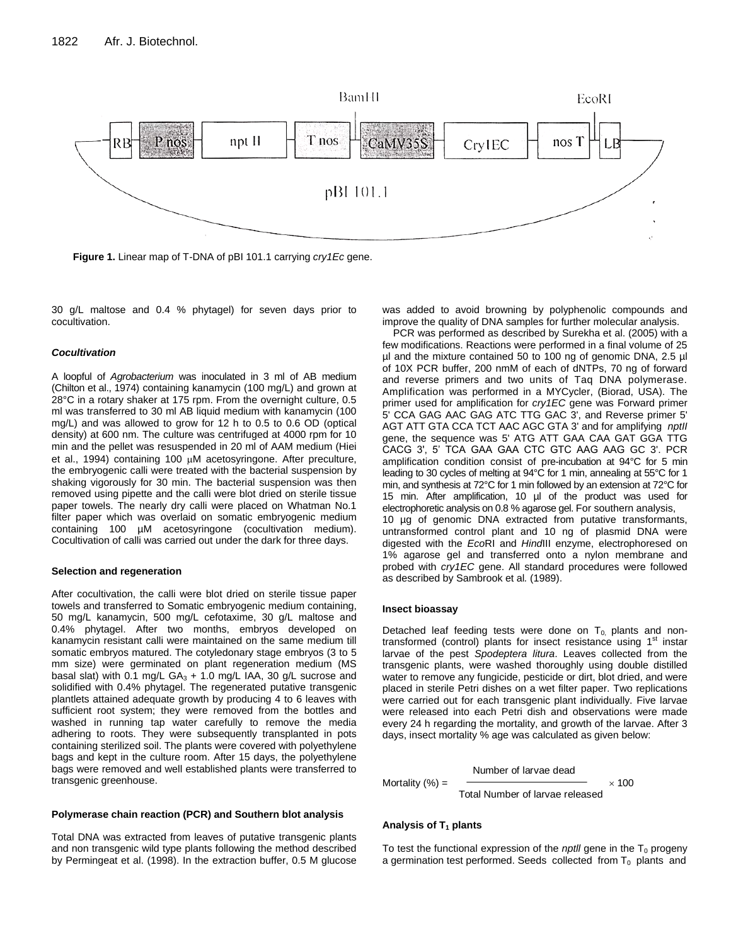

**Figure 1.** Linear map of T-DNA of pBI 101.1 carrying *cry1Ec* gene.

30 g/L maltose and 0.4 % phytagel) for seven days prior to cocultivation.

#### *Cocultivation*

A loopful of *Agrobacterium* was inoculated in 3 ml of AB medium (Chilton et al., 1974) containing kanamycin (100 mg/L) and grown at 28°C in a rotary shaker at 175 rpm. From the overnight culture, 0.5 ml was transferred to 30 ml AB liquid medium with kanamycin (100 mg/L) and was allowed to grow for 12 h to 0.5 to 0.6 OD (optical density) at 600 nm. The culture was centrifuged at 4000 rpm for 10 min and the pellet was resuspended in 20 ml of AAM medium (Hiei et al., 1994) containing 100  $\mu$ M acetosyringone. After preculture, the embryogenic calli were treated with the bacterial suspension by shaking vigorously for 30 min. The bacterial suspension was then removed using pipette and the calli were blot dried on sterile tissue paper towels. The nearly dry calli were placed on Whatman No.1 filter paper which was overlaid on somatic embryogenic medium containing 100 µM acetosyringone (cocultivation medium). Cocultivation of calli was carried out under the dark for three days.

#### **Selection and regeneration**

After cocultivation, the calli were blot dried on sterile tissue paper towels and transferred to Somatic embryogenic medium containing, 50 mg/L kanamycin, 500 mg/L cefotaxime, 30 g/L maltose and 0.4% phytagel. After two months, embryos developed on kanamycin resistant calli were maintained on the same medium till somatic embryos matured. The cotyledonary stage embryos (3 to 5 mm size) were germinated on plant regeneration medium (MS basal slat) with 0.1 mg/L  $GA_3 + 1.0$  mg/L IAA, 30 g/L sucrose and solidified with 0.4% phytagel. The regenerated putative transgenic plantlets attained adequate growth by producing 4 to 6 leaves with sufficient root system; they were removed from the bottles and washed in running tap water carefully to remove the media adhering to roots. They were subsequently transplanted in pots containing sterilized soil. The plants were covered with polyethylene bags and kept in the culture room. After 15 days, the polyethylene bags were removed and well established plants were transferred to transgenic greenhouse.

#### **Polymerase chain reaction (PCR) and Southern blot analysis**

Total DNA was extracted from leaves of putative transgenic plants and non transgenic wild type plants following the method described by Permingeat et al. (1998). In the extraction buffer, 0.5 M glucose was added to avoid browning by polyphenolic compounds and improve the quality of DNA samples for further molecular analysis.

PCR was performed as described by Surekha et al. (2005) with a few modifications. Reactions were performed in a final volume of 25 µl and the mixture contained 50 to 100 ng of genomic DNA, 2.5 µl of 10X PCR buffer, 200 nmM of each of dNTPs, 70 ng of forward and reverse primers and two units of Taq DNA polymerase. Amplification was performed in a MYCycler, (Biorad, USA). The primer used for amplification for *cry1EC* gene was Forward primer 5' CCA GAG AAC GAG ATC TTG GAC 3', and Reverse primer 5' AGT ATT GTA CCA TCT AAC AGC GTA 3' and for amplifying *nptII* gene, the sequence was 5' ATG ATT GAA CAA GAT GGA TTG CACG 3', 5' TCA GAA GAA CTC GTC AAG AAG GC 3'. PCR amplification condition consist of pre-incubation at 94°C for 5 min leading to 30 cycles of melting at 94°C for 1 min, annealing at 55°C for 1 min, and synthesis at 72°C for 1 min followed by an extension at 72°C for 15 min. After amplification, 10 µl of the product was used for electrophoretic analysis on 0.8 % agarose gel. For southern analysis, 10 µg of genomic DNA extracted from putative transformants, untransformed control plant and 10 ng of plasmid DNA were digested with the *Eco*RI and *Hind*III enzyme, electrophoresed on 1% agarose gel and transferred onto a nylon membrane and probed with *cry1EC* gene. All standard procedures were followed as described by Sambrook et al*.* (1989).

#### **Insect bioassay**

Detached leaf feeding tests were done on  $T_{0}$  plants and nontransformed (control) plants for insect resistance using  $1<sup>st</sup>$  instar larvae of the pest *Spodeptera litura*. Leaves collected from the transgenic plants, were washed thoroughly using double distilled water to remove any fungicide, pesticide or dirt, blot dried, and were placed in sterile Petri dishes on a wet filter paper. Two replications were carried out for each transgenic plant individually. Five larvae were released into each Petri dish and observations were made every 24 h regarding the mortality, and growth of the larvae. After 3 days, insect mortality % age was calculated as given below:

Number of larvae dead

Mortality  $(\%) =$   $\qquad \qquad \longrightarrow$  100

Total Number of larvae released

#### **Analysis of T<sup>1</sup> plants**

To test the functional expression of the *nptll* gene in the  $T_0$  progeny a germination test performed. Seeds collected from  $T_0$  plants and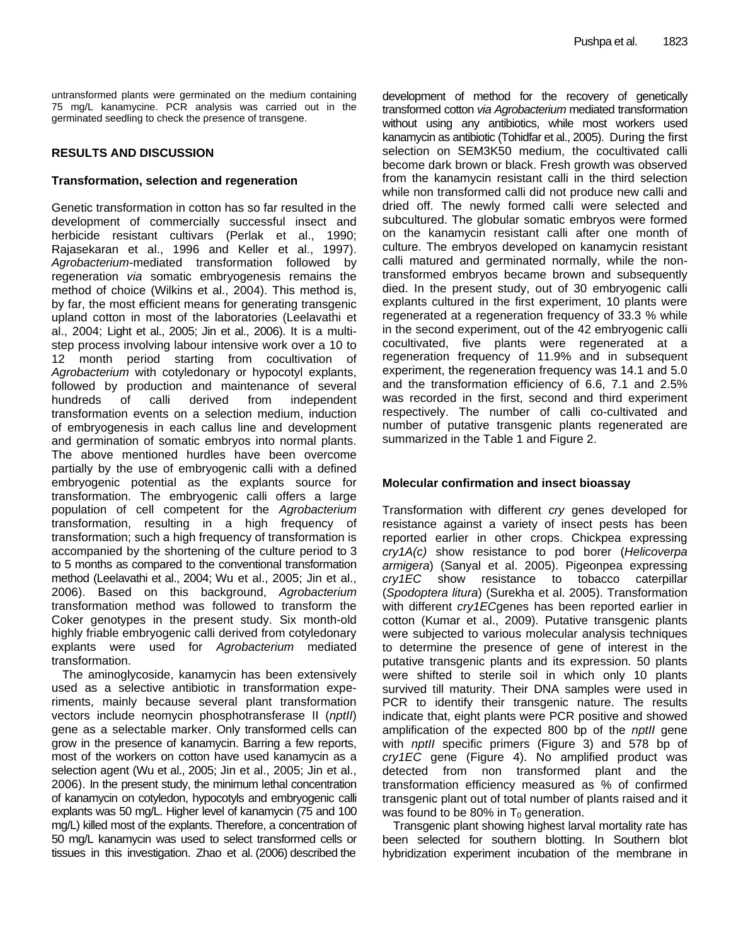untransformed plants were germinated on the medium containing 75 mg/L kanamycine. PCR analysis was carried out in the germinated seedling to check the presence of transgene.

# **RESULTS AND DISCUSSION**

# **Transformation, selection and regeneration**

Genetic transformation in cotton has so far resulted in the development of commercially successful insect and herbicide resistant cultivars (Perlak et al., 1990; Rajasekaran et al., 1996 and Keller et al., 1997). *Agrobacterium-*mediated transformation followed by regeneration *via* somatic embryogenesis remains the method of choice (Wilkins et al., 2004). This method is, by far, the most efficient means for generating transgenic upland cotton in most of the laboratories (Leelavathi et al., 2004; Light et al., 2005; Jin et al., 2006). It is a multistep process involving labour intensive work over a 10 to 12 month period starting from cocultivation of *Agrobacterium* with cotyledonary or hypocotyl explants, followed by production and maintenance of several hundreds of calli derived from independent transformation events on a selection medium, induction of embryogenesis in each callus line and development and germination of somatic embryos into normal plants. The above mentioned hurdles have been overcome partially by the use of embryogenic calli with a defined embryogenic potential as the explants source for transformation. The embryogenic calli offers a large population of cell competent for the *Agrobacterium* transformation, resulting in a high frequency of transformation; such a high frequency of transformation is accompanied by the shortening of the culture period to 3 to 5 months as compared to the conventional transformation method (Leelavathi et al., 2004; Wu et al., 2005; Jin et al., 2006). Based on this background, *Agrobacterium* transformation method was followed to transform the Coker genotypes in the present study. Six month-old highly friable embryogenic calli derived from cotyledonary explants were used for *Agrobacterium* mediated transformation.

The aminoglycoside, kanamycin has been extensively used as a selective antibiotic in transformation experiments, mainly because several plant transformation vectors include neomycin phosphotransferase II (*nptII*) gene as a selectable marker. Only transformed cells can grow in the presence of kanamycin. Barring a few reports, most of the workers on cotton have used kanamycin as a selection agent (Wu et al., 2005; Jin et al., 2005; Jin et al., 2006). In the present study, the minimum lethal concentration of kanamycin on cotyledon, hypocotyls and embryogenic calli explants was 50 mg/L. Higher level of kanamycin (75 and 100 mg/L) killed most of the explants. Therefore, a concentration of 50 mg/L kanamycin was used to select transformed cells or tissues in this investigation. Zhao et al. (2006) described the

development of method for the recovery of genetically transformed cotton *via Agrobacterium* mediated transformation without using any antibiotics, while most workers used kanamycin as antibiotic (Tohidfar et al., 2005). During the first selection on SEM3K50 medium, the cocultivated calli become dark brown or black. Fresh growth was observed from the kanamycin resistant calli in the third selection while non transformed calli did not produce new calli and dried off. The newly formed calli were selected and subcultured. The globular somatic embryos were formed on the kanamycin resistant calli after one month of culture. The embryos developed on kanamycin resistant calli matured and germinated normally, while the nontransformed embryos became brown and subsequently died. In the present study, out of 30 embryogenic calli explants cultured in the first experiment, 10 plants were regenerated at a regeneration frequency of 33.3 % while in the second experiment, out of the 42 embryogenic calli cocultivated, five plants were regenerated at a regeneration frequency of 11.9% and in subsequent experiment, the regeneration frequency was 14.1 and 5.0 and the transformation efficiency of 6.6, 7.1 and 2.5% was recorded in the first, second and third experiment respectively. The number of calli co-cultivated and number of putative transgenic plants regenerated are summarized in the Table 1 and Figure 2.

# **Molecular confirmation and insect bioassay**

Transformation with different *cry* genes developed for resistance against a variety of insect pests has been reported earlier in other crops. Chickpea expressing *cry1A(c)* show resistance to pod borer (*Helicoverpa armigera*) (Sanyal et al. 2005). Pigeonpea expressing *cry1EC* show resistance to tobacco caterpillar (*Spodoptera litura*) (Surekha et al. 2005). Transformation with different *cry1EC*genes has been reported earlier in cotton (Kumar et al., 2009). Putative transgenic plants were subjected to various molecular analysis techniques to determine the presence of gene of interest in the putative transgenic plants and its expression. 50 plants were shifted to sterile soil in which only 10 plants survived till maturity. Their DNA samples were used in PCR to identify their transgenic nature. The results indicate that, eight plants were PCR positive and showed amplification of the expected 800 bp of the *nptII* gene with *nptII* specific primers (Figure 3) and 578 bp of *cry1EC* gene (Figure 4). No amplified product was detected from non transformed plant and the transformation efficiency measured as % of confirmed transgenic plant out of total number of plants raised and it was found to be 80% in  $T_0$  generation.

Transgenic plant showing highest larval mortality rate has been selected for southern blotting. In Southern blot hybridization experiment incubation of the membrane in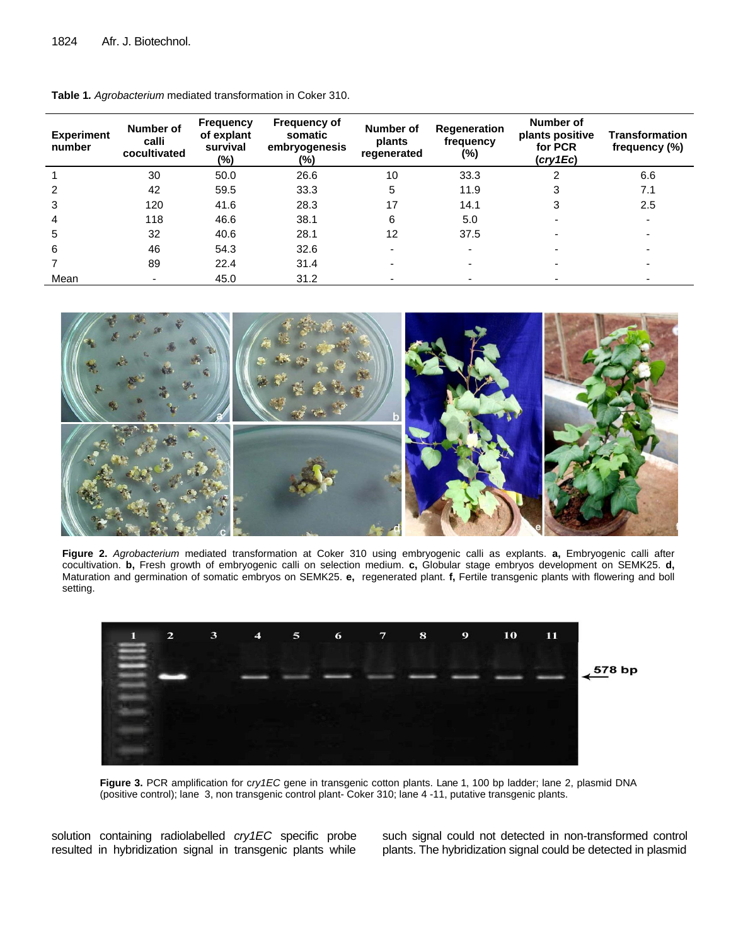| Experiment<br>number | Number of<br>calli<br>cocultivated | <b>Frequency</b><br>of explant<br>survival<br>(%) | <b>Frequency of</b><br>somatic<br>embryogenesis<br>(%) | Number of<br>plants<br>regenerated | Regeneration<br>frequency<br>(%) | Number of<br>plants positive<br>for PCR<br>(cry1Ec) | <b>Transformation</b><br>frequency (%) |
|----------------------|------------------------------------|---------------------------------------------------|--------------------------------------------------------|------------------------------------|----------------------------------|-----------------------------------------------------|----------------------------------------|
|                      | 30                                 | 50.0                                              | 26.6                                                   | 10                                 | 33.3                             |                                                     | 6.6                                    |
| $\mathcal{P}$        | 42                                 | 59.5                                              | 33.3                                                   | 5                                  | 11.9                             |                                                     | 7.1                                    |
| 3                    | 120                                | 41.6                                              | 28.3                                                   | 17                                 | 14.1                             |                                                     | 2.5                                    |
| 4                    | 118                                | 46.6                                              | 38.1                                                   | 6                                  | 5.0                              |                                                     |                                        |
| 5                    | 32                                 | 40.6                                              | 28.1                                                   | 12                                 | 37.5                             |                                                     |                                        |
| 6                    | 46                                 | 54.3                                              | 32.6                                                   |                                    |                                  |                                                     |                                        |
|                      | 89                                 | 22.4                                              | 31.4                                                   |                                    |                                  |                                                     |                                        |
| Mean                 | $\blacksquare$                     | 45.0                                              | 31.2                                                   |                                    |                                  |                                                     |                                        |

**Table 1***. Agrobacterium* mediated transformation in Coker 310.



**Figure 2.** *Agrobacterium* mediated transformation at Coker 310 using embryogenic calli as explants. **a,** Embryogenic calli after cocultivation. **b,** Fresh growth of embryogenic calli on selection medium. **c,** Globular stage embryos development on SEMK25. **d,** Maturation and germination of somatic embryos on SEMK25. **e,** regenerated plant. **f,** Fertile transgenic plants with flowering and boll setting.



**Figure 3.** PCR amplification for c*ry1EC* gene in transgenic cotton plants. Lane 1, 100 bp ladder; lane 2, plasmid DNA (positive control); lane 3, non transgenic control plant- Coker 310; lane 4 -11, putative transgenic plants.

solution containing radiolabelled *cry1EC* specific probe resulted in hybridization signal in transgenic plants while such signal could not detected in non-transformed control plants. The hybridization signal could be detected in plasmid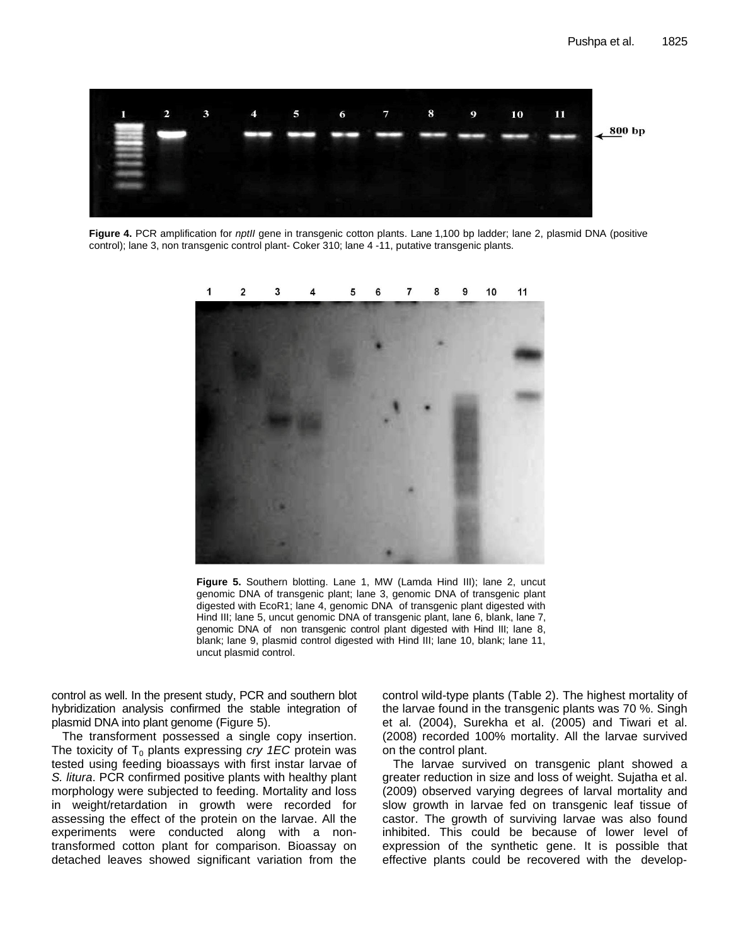

**Figure 4.** PCR amplification for *nptII* gene in transgenic cotton plants. Lane 1,100 bp ladder; lane 2, plasmid DNA (positive control); lane 3, non transgenic control plant- Coker 310; lane 4 -11, putative transgenic plants.



**Figure 5.** Southern blotting. Lane 1, MW (Lamda Hind III); lane 2, uncut genomic DNA of transgenic plant; lane 3, genomic DNA of transgenic plant digested with EcoR1; lane 4, genomic DNA of transgenic plant digested with Hind III; lane 5, uncut genomic DNA of transgenic plant, lane 6, blank, lane 7, genomic DNA of non transgenic control plant digested with Hind III; lane 8, blank; lane 9, plasmid control digested with Hind III; lane 10, blank; lane 11, uncut plasmid control.

control as well. In the present study, PCR and southern blot hybridization analysis confirmed the stable integration of plasmid DNA into plant genome (Figure 5).

The transforment possessed a single copy insertion. The toxicity of  $T_0$  plants expressing *cry 1EC* protein was tested using feeding bioassays with first instar larvae of *S. litura*. PCR confirmed positive plants with healthy plant morphology were subjected to feeding. Mortality and loss in weight/retardation in growth were recorded for assessing the effect of the protein on the larvae. All the experiments were conducted along with a nontransformed cotton plant for comparison. Bioassay on detached leaves showed significant variation from the control wild-type plants (Table 2). The highest mortality of the larvae found in the transgenic plants was 70 %. Singh et al*.* (2004), Surekha et al. (2005) and Tiwari et al. (2008) recorded 100% mortality. All the larvae survived on the control plant.

The larvae survived on transgenic plant showed a greater reduction in size and loss of weight. Sujatha et al. (2009) observed varying degrees of larval mortality and slow growth in larvae fed on transgenic leaf tissue of castor. The growth of surviving larvae was also found inhibited. This could be because of lower level of expression of the synthetic gene. It is possible that effective plants could be recovered with the develop-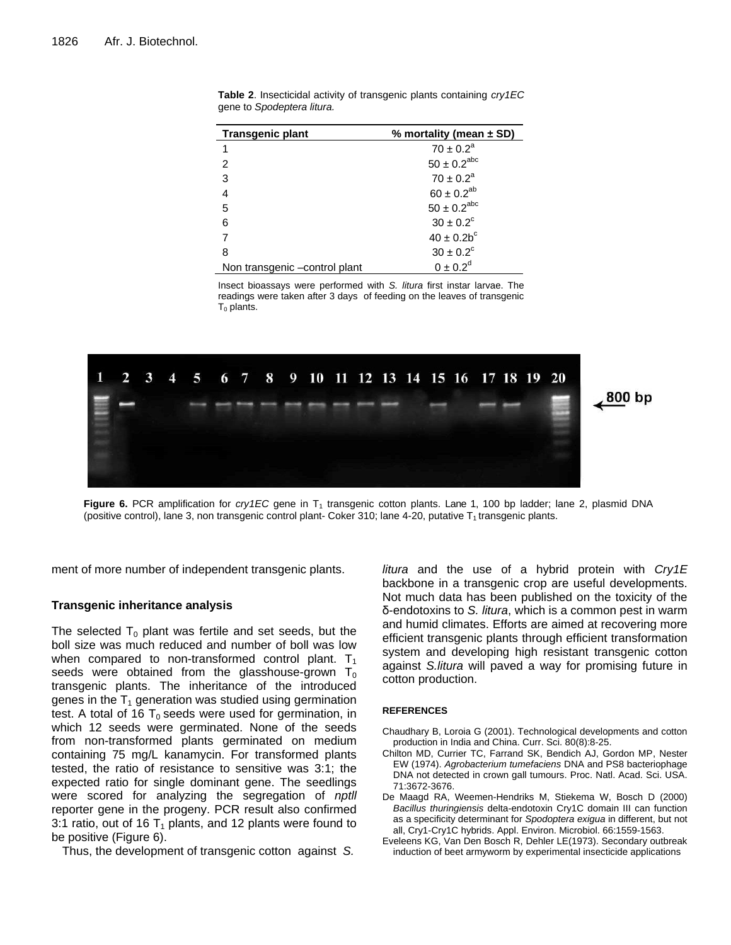| <b>Transgenic plant</b>       | % mortality (mean $\pm$ SD) |  |  |
|-------------------------------|-----------------------------|--|--|
|                               | $70 \pm 0.2^a$              |  |  |
| 2                             | $50 \pm 0.2^{\rm abc}$      |  |  |
| 3                             | $70 \pm 0.2^a$              |  |  |
| 4                             | $60 \pm 0.2^{ab}$           |  |  |
| 5                             | $50 \pm 0.2^{\rm abc}$      |  |  |
| 6                             | $30 \pm 0.2^{\circ}$        |  |  |
|                               | $40 \pm 0.2b^c$             |  |  |
| 8                             | $30 \pm 0.2^{\circ}$        |  |  |
| Non transgenic -control plant | $0 \pm 0.2^d$               |  |  |

**Table 2**. Insecticidal activity of transgenic plants containing *cry1EC* gene to *Spodeptera litura.*

Insect bioassays were performed with *S. litura* first instar larvae. The readings were taken after 3 days of feeding on the leaves of transgenic  $T_0$  plants.



**Figure 6.** PCR amplification for *cry1EC* gene in T<sub>1</sub> transgenic cotton plants. Lane 1, 100 bp ladder; lane 2, plasmid DNA (positive control), lane 3, non transgenic control plant- Coker 310; lane 4-20, putative  $T_1$  transgenic plants.

ment of more number of independent transgenic plants.

# **Transgenic inheritance analysis**

The selected  $T_0$  plant was fertile and set seeds, but the boll size was much reduced and number of boll was low when compared to non-transformed control plant.  $T_1$ seeds were obtained from the glasshouse-grown  $T_0$ transgenic plants. The inheritance of the introduced genes in the  $T_1$  generation was studied using germination test. A total of 16  $T_0$  seeds were used for germination, in which 12 seeds were germinated. None of the seeds from non-transformed plants germinated on medium containing 75 mg/L kanamycin. For transformed plants tested, the ratio of resistance to sensitive was 3:1; the expected ratio for single dominant gene. The seedlings were scored for analyzing the segregation of *nptll*  reporter gene in the progeny. PCR result also confirmed 3:1 ratio, out of 16  $T_1$  plants, and 12 plants were found to be positive (Figure 6).

Thus, the development of transgenic cotton against *S.* 

*litura* and the use of a hybrid protein with *Cry1E* backbone in a transgenic crop are useful developments. Not much data has been published on the toxicity of the δ-endotoxins to *S. litura*, which is a common pest in warm and humid climates. Efforts are aimed at recovering more efficient transgenic plants through efficient transformation system and developing high resistant transgenic cotton against *S.litura* will paved a way for promising future in cotton production.

### **REFERENCES**

- Chaudhary B, Loroia G (2001). Technological developments and cotton production in India and China. Curr. Sci. 80(8):8-25.
- Chilton MD, Currier TC, Farrand SK, Bendich AJ, Gordon MP, Nester EW (1974). *Agrobacterium tumefaciens* DNA and PS8 bacteriophage DNA not detected in crown gall tumours. Proc. Natl. Acad. Sci. USA. 71:3672-3676.
- De Maagd RA, Weemen-Hendriks M, Stiekema W, Bosch D (2000) *Bacillus thuringiensis* delta-endotoxin Cry1C domain III can function as a specificity determinant for *Spodoptera exigua* in different, but not all, Cry1-Cry1C hybrids. Appl. Environ. Microbiol. 66:1559-1563.
- Eveleens KG, Van Den Bosch R, Dehler LE(1973). Secondary outbreak induction of beet armyworm by experimental insecticide applications